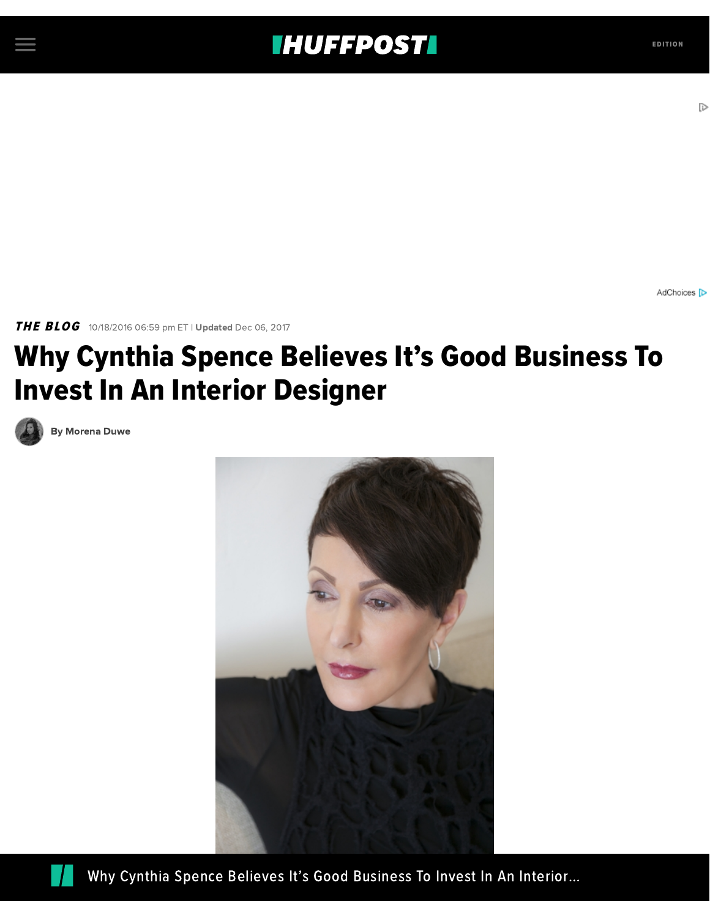## **THUFFPOSTI** EDITION

AdChoices D

THE BLOG 10/18/2016 06:59 pm ET | Updated Dec 06, 2017

## Why Cynthia Spence Believes It's Good Business To Invest In An Interior Designer



By [Morena](https://www.huffingtonpost.com/author/morena-duwe) Duwe





Why Cynthia Spence Believes It's Good [Business](http://images.huffingtonpost.com/2016-10-18-1476829886-7671889-20160218CynthiaSpence062.jpeg) To Invest In An Interior…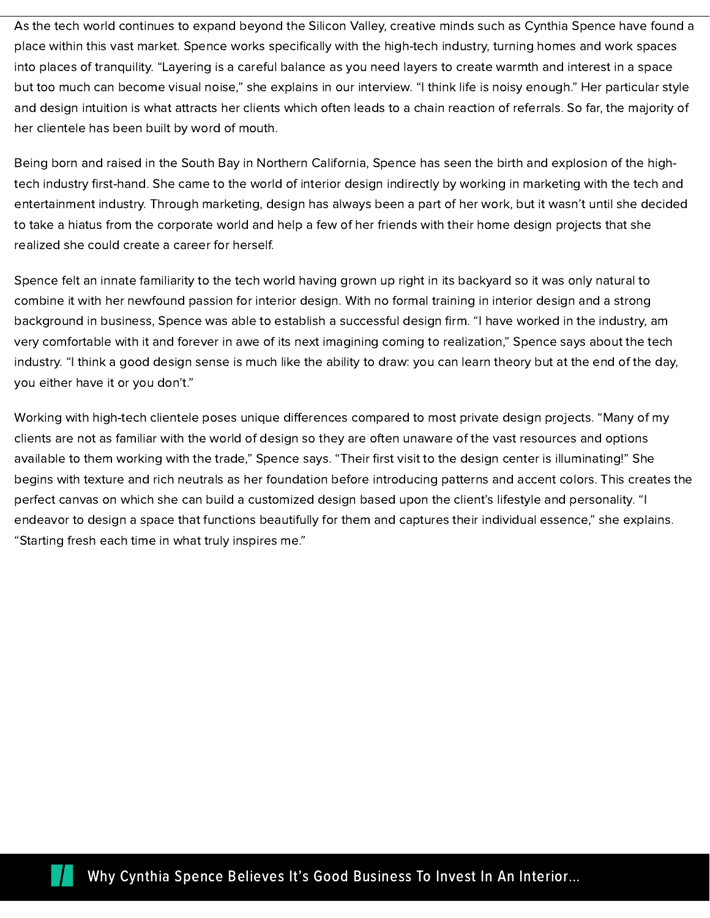As the tech world continues to expand beyond the Silicon Valley, creative minds such as Cynthia Spence have found a place within this vast market. Spence works specifically with the high-tech industry, turning homes and work spaces into places of tranquility. "Layering is a careful balance as you need layers to create warmth and interest in a space but too much can become visual noise," she explains in our interview. "I think life is noisy enough." Her particular style and design intuition is what attracts her clients which often leads to a chain reaction of referrals. So far, the majority of her clientele has been built by word of mouth.

Being born and raised in the South Bay in Northern California, Spence has seen the birth and explosion of the hightech industry first-hand. She came to the world of interior design indirectly by working in marketing with the tech and entertainment industry. Through marketing, design has always been a part of her work, but it wasn't until she decided to take a hiatus from the corporate world and help a few of her friends with their home design projects that she realized she could create a career for herself.

Spence felt an innate familiarity to the tech world having grown up right in its backyard so it was only natural to combine it with her newfound passion for interior design. With no formal training in interior design and a strong background in business, Spence was able to establish a successful design firm. "I have worked in the industry, am very comfortable with it and forever in awe of its next imagining coming to realization," Spence says about the tech industry. "I think a good design sense is much like the ability to draw: you can learn theory but at the end of the day, you either have it or you don't."

Working with high-tech clientele poses unique differences compared to most private design projects. "Many of my clients are not as familiar with the world of design so they are often unaware of the vast resources and options available to them working with the trade," Spence says. "Their first visit to the design center is illuminating!" She begins with texture and rich neutrals as her foundation before introducing patterns and accent colors. This creates the perfect canvas on which she can build a customized design based upon the client's lifestyle and personality. "I endeavor to design a space that functions beautifully for them and captures their individual essence," she explains. "Starting fresh each time in what truly inspires me."